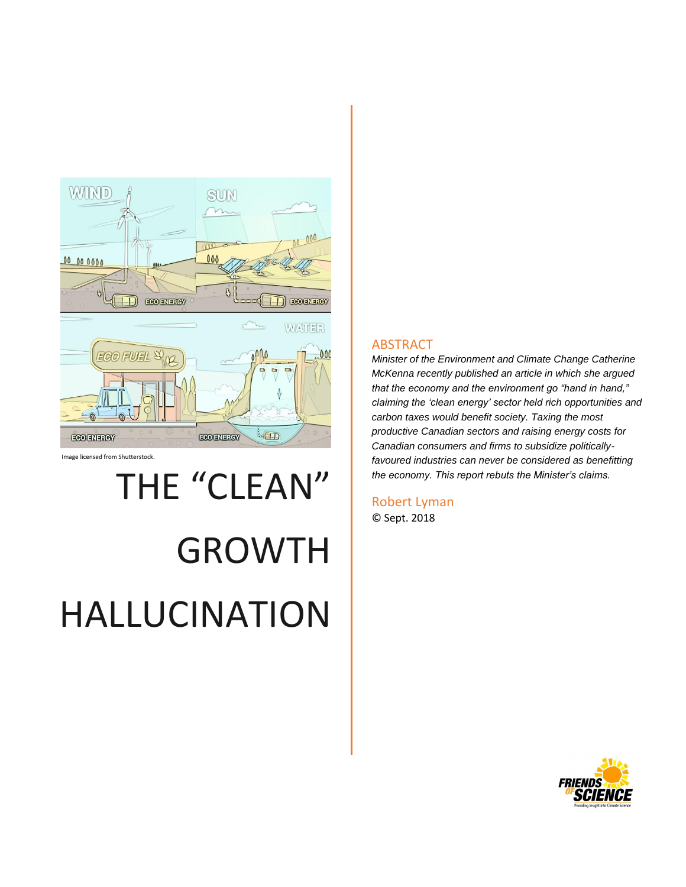

Image licensed from Shutterstock.

# THE "CLEAN"

# GROWTH HALLUCINATION

#### ABSTRACT

*Minister of the Environment and Climate Change Catherine McKenna recently published an article in which she argued that the economy and the environment go "hand in hand," claiming the 'clean energy' sector held rich opportunities and carbon taxes would benefit society. Taxing the most productive Canadian sectors and raising energy costs for Canadian consumers and firms to subsidize politicallyfavoured industries can never be considered as benefitting the economy. This report rebuts the Minister's claims.*

Robert Lyman © Sept. 2018

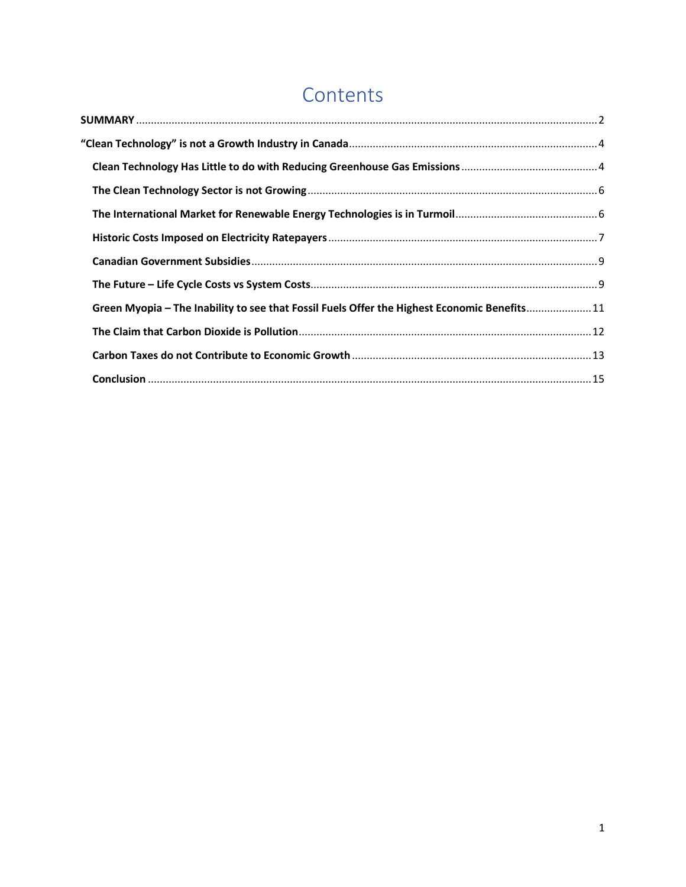## **Contents**

| Green Myopia - The Inability to see that Fossil Fuels Offer the Highest Economic Benefits11 |  |
|---------------------------------------------------------------------------------------------|--|
|                                                                                             |  |
|                                                                                             |  |
|                                                                                             |  |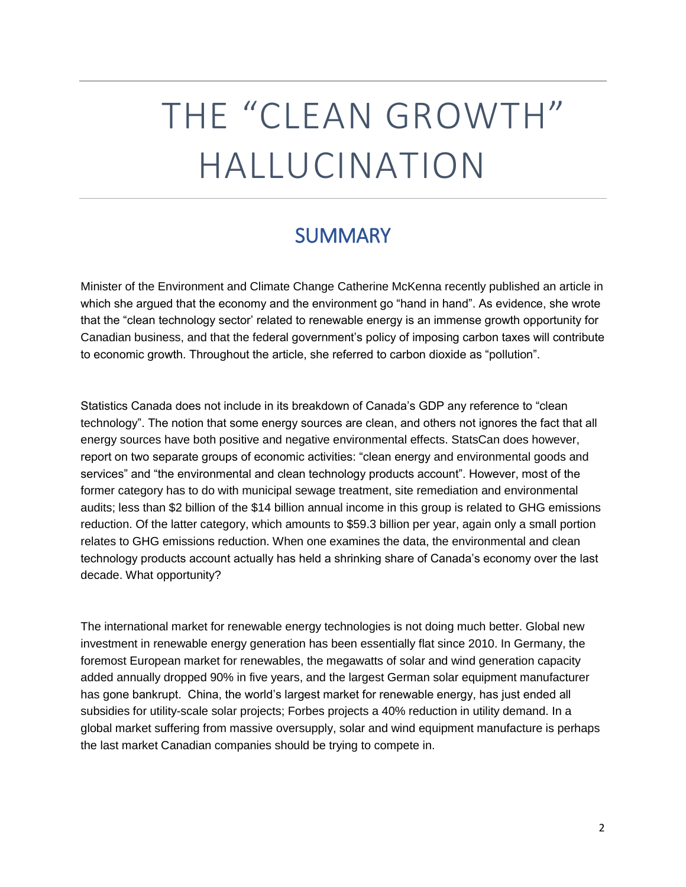## THE "CLEAN GROWTH" HALLUCINATION

## **SUMMARY**

<span id="page-2-0"></span>Minister of the Environment and Climate Change Catherine McKenna recently published an article in which she argued that the economy and the environment go "hand in hand". As evidence, she wrote that the "clean technology sector' related to renewable energy is an immense growth opportunity for Canadian business, and that the federal government's policy of imposing carbon taxes will contribute to economic growth. Throughout the article, she referred to carbon dioxide as "pollution".

Statistics Canada does not include in its breakdown of Canada's GDP any reference to "clean technology". The notion that some energy sources are clean, and others not ignores the fact that all energy sources have both positive and negative environmental effects. StatsCan does however, report on two separate groups of economic activities: "clean energy and environmental goods and services" and "the environmental and clean technology products account". However, most of the former category has to do with municipal sewage treatment, site remediation and environmental audits; less than \$2 billion of the \$14 billion annual income in this group is related to GHG emissions reduction. Of the latter category, which amounts to \$59.3 billion per year, again only a small portion relates to GHG emissions reduction. When one examines the data, the environmental and clean technology products account actually has held a shrinking share of Canada's economy over the last decade. What opportunity?

The international market for renewable energy technologies is not doing much better. Global new investment in renewable energy generation has been essentially flat since 2010. In Germany, the foremost European market for renewables, the megawatts of solar and wind generation capacity added annually dropped 90% in five years, and the largest German solar equipment manufacturer has gone bankrupt. China, the world's largest market for renewable energy, has just ended all subsidies for utility-scale solar projects; Forbes projects a 40% reduction in utility demand. In a global market suffering from massive oversupply, solar and wind equipment manufacture is perhaps the last market Canadian companies should be trying to compete in.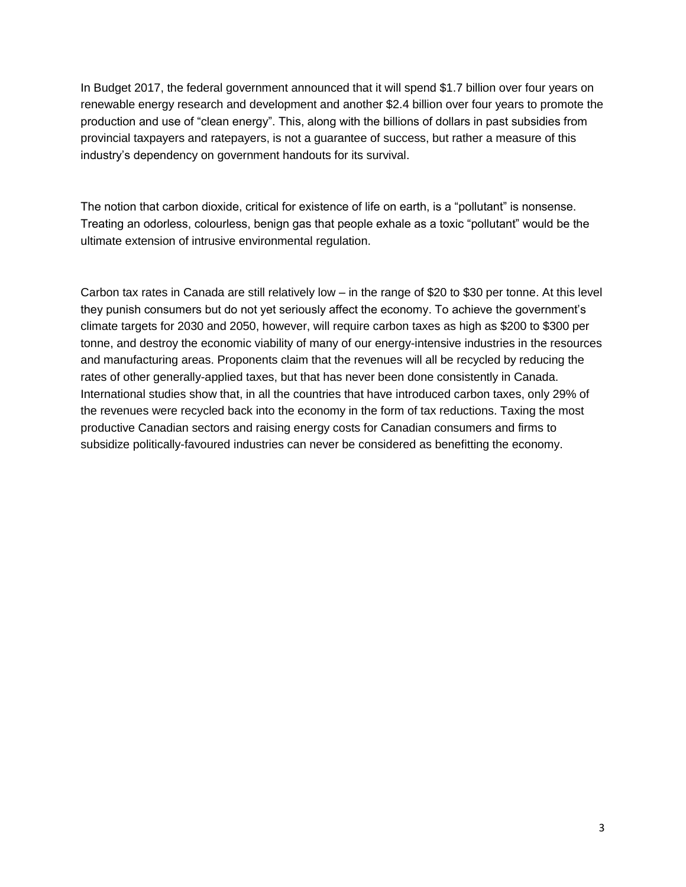In Budget 2017, the federal government announced that it will spend \$1.7 billion over four years on renewable energy research and development and another \$2.4 billion over four years to promote the production and use of "clean energy". This, along with the billions of dollars in past subsidies from provincial taxpayers and ratepayers, is not a guarantee of success, but rather a measure of this industry's dependency on government handouts for its survival.

The notion that carbon dioxide, critical for existence of life on earth, is a "pollutant" is nonsense. Treating an odorless, colourless, benign gas that people exhale as a toxic "pollutant" would be the ultimate extension of intrusive environmental regulation.

Carbon tax rates in Canada are still relatively low – in the range of \$20 to \$30 per tonne. At this level they punish consumers but do not yet seriously affect the economy. To achieve the government's climate targets for 2030 and 2050, however, will require carbon taxes as high as \$200 to \$300 per tonne, and destroy the economic viability of many of our energy-intensive industries in the resources and manufacturing areas. Proponents claim that the revenues will all be recycled by reducing the rates of other generally-applied taxes, but that has never been done consistently in Canada. International studies show that, in all the countries that have introduced carbon taxes, only 29% of the revenues were recycled back into the economy in the form of tax reductions. Taxing the most productive Canadian sectors and raising energy costs for Canadian consumers and firms to subsidize politically-favoured industries can never be considered as benefitting the economy.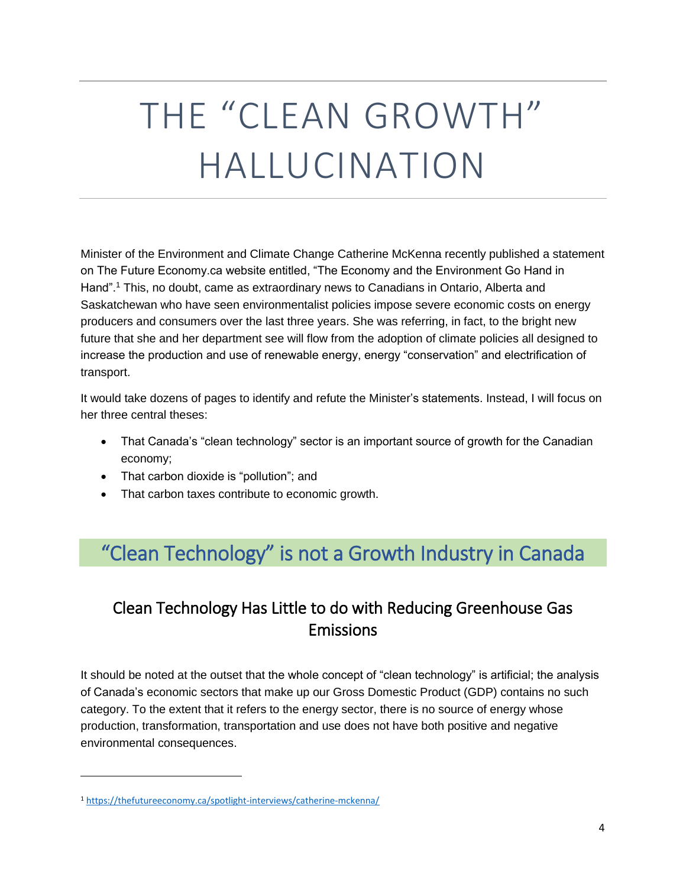## THE "CLEAN GROWTH" HALLUCINATION

Minister of the Environment and Climate Change Catherine McKenna recently published a statement on The Future Economy.ca website entitled, "The Economy and the Environment Go Hand in Hand".<sup>1</sup> This, no doubt, came as extraordinary news to Canadians in Ontario, Alberta and Saskatchewan who have seen environmentalist policies impose severe economic costs on energy producers and consumers over the last three years. She was referring, in fact, to the bright new future that she and her department see will flow from the adoption of climate policies all designed to increase the production and use of renewable energy, energy "conservation" and electrification of transport.

It would take dozens of pages to identify and refute the Minister's statements. Instead, I will focus on her three central theses:

- That Canada's "clean technology" sector is an important source of growth for the Canadian economy;
- That carbon dioxide is "pollution"; and
- That carbon taxes contribute to economic growth.

## <span id="page-4-0"></span>"Clean Technology" is not a Growth Industry in Canada

### <span id="page-4-1"></span>Clean Technology Has Little to do with Reducing Greenhouse Gas Emissions

It should be noted at the outset that the whole concept of "clean technology" is artificial; the analysis of Canada's economic sectors that make up our Gross Domestic Product (GDP) contains no such category. To the extent that it refers to the energy sector, there is no source of energy whose production, transformation, transportation and use does not have both positive and negative environmental consequences.

l

<sup>1</sup> <https://thefutureeconomy.ca/spotlight-interviews/catherine-mckenna/>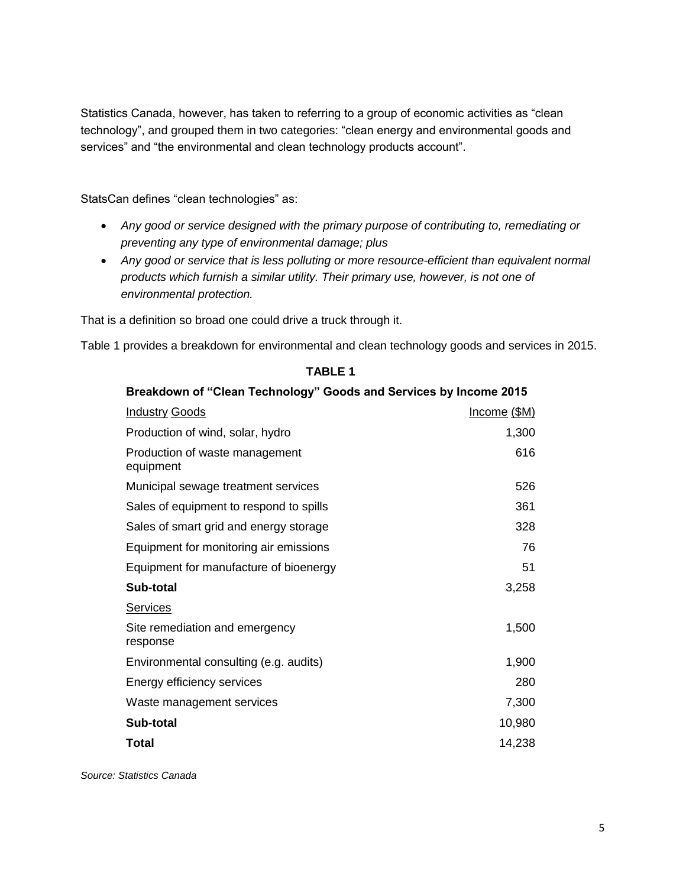Statistics Canada, however, has taken to referring to a group of economic activities as "clean technology", and grouped them in two categories: "clean energy and environmental goods and services" and "the environmental and clean technology products account".

StatsCan defines "clean technologies" as:

- *Any good or service designed with the primary purpose of contributing to, remediating or preventing any type of environmental damage; plus*
- *Any good or service that is less polluting or more resource-efficient than equivalent normal products which furnish a similar utility. Their primary use, however, is not one of environmental protection.*

That is a definition so broad one could drive a truck through it.

Table 1 provides a breakdown for environmental and clean technology goods and services in 2015.

| <b>Programation</b> of Siddin redifficion <sub>y</sub><br><b>PODDS AND AND AND AND AND AND AND AND A</b> |                     |
|----------------------------------------------------------------------------------------------------------|---------------------|
| <b>Industry Goods</b>                                                                                    | <u>Income (\$M)</u> |
| Production of wind, solar, hydro                                                                         | 1,300               |
| Production of waste management<br>equipment                                                              | 616                 |
| Municipal sewage treatment services                                                                      | 526                 |
| Sales of equipment to respond to spills                                                                  | 361                 |
| Sales of smart grid and energy storage                                                                   | 328                 |
| Equipment for monitoring air emissions                                                                   | 76                  |
| Equipment for manufacture of bioenergy                                                                   | 51                  |
| Sub-total                                                                                                | 3,258               |
| <b>Services</b>                                                                                          |                     |
| Site remediation and emergency<br>response                                                               | 1,500               |
| Environmental consulting (e.g. audits)                                                                   | 1,900               |
| Energy efficiency services                                                                               | 280                 |
| Waste management services                                                                                | 7,300               |
| Sub-total                                                                                                | 10,980              |
| <b>Total</b>                                                                                             | 14,238              |

#### **TABLE 1 Breakdown of "Clean Technology" Goods and Services by Income 2015**

#### *Source: Statistics Canada*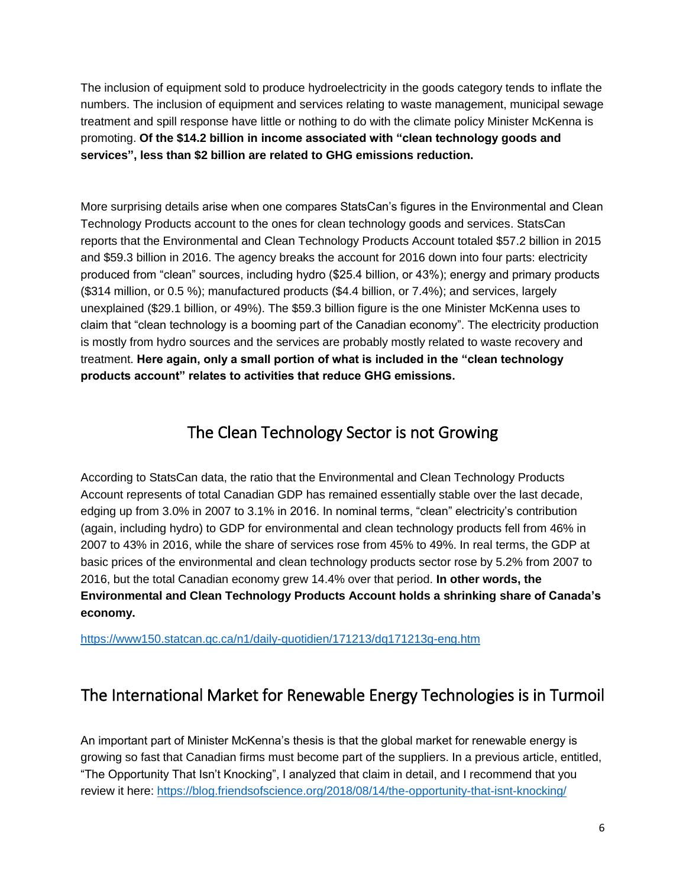The inclusion of equipment sold to produce hydroelectricity in the goods category tends to inflate the numbers. The inclusion of equipment and services relating to waste management, municipal sewage treatment and spill response have little or nothing to do with the climate policy Minister McKenna is promoting. **Of the \$14.2 billion in income associated with "clean technology goods and services", less than \$2 billion are related to GHG emissions reduction.**

More surprising details arise when one compares StatsCan's figures in the Environmental and Clean Technology Products account to the ones for clean technology goods and services. StatsCan reports that the Environmental and Clean Technology Products Account totaled \$57.2 billion in 2015 and \$59.3 billion in 2016. The agency breaks the account for 2016 down into four parts: electricity produced from "clean" sources, including hydro (\$25.4 billion, or 43%); energy and primary products (\$314 million, or 0.5 %); manufactured products (\$4.4 billion, or 7.4%); and services, largely unexplained (\$29.1 billion, or 49%). The \$59.3 billion figure is the one Minister McKenna uses to claim that "clean technology is a booming part of the Canadian economy". The electricity production is mostly from hydro sources and the services are probably mostly related to waste recovery and treatment. **Here again, only a small portion of what is included in the "clean technology products account" relates to activities that reduce GHG emissions.**

### The Clean Technology Sector is not Growing

<span id="page-6-0"></span>According to StatsCan data, the ratio that the Environmental and Clean Technology Products Account represents of total Canadian GDP has remained essentially stable over the last decade, edging up from 3.0% in 2007 to 3.1% in 2016. In nominal terms, "clean" electricity's contribution (again, including hydro) to GDP for environmental and clean technology products fell from 46% in 2007 to 43% in 2016, while the share of services rose from 45% to 49%. In real terms, the GDP at basic prices of the environmental and clean technology products sector rose by 5.2% from 2007 to 2016, but the total Canadian economy grew 14.4% over that period. **In other words, the Environmental and Clean Technology Products Account holds a shrinking share of Canada's economy.**

<https://www150.statcan.gc.ca/n1/daily-quotidien/171213/dq171213g-eng.htm>

### <span id="page-6-1"></span>The International Market for Renewable Energy Technologies is in Turmoil

An important part of Minister McKenna's thesis is that the global market for renewable energy is growing so fast that Canadian firms must become part of the suppliers. In a previous article, entitled, "The Opportunity That Isn't Knocking", I analyzed that claim in detail, and I recommend that you review it here: <https://blog.friendsofscience.org/2018/08/14/the-opportunity-that-isnt-knocking/>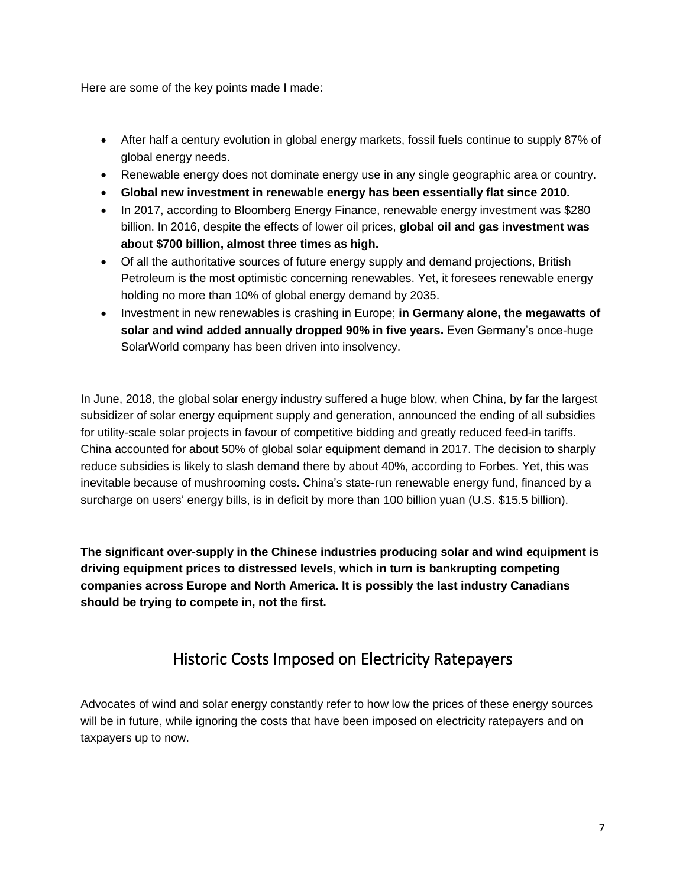Here are some of the key points made I made:

- After half a century evolution in global energy markets, fossil fuels continue to supply 87% of global energy needs.
- Renewable energy does not dominate energy use in any single geographic area or country.
- **Global new investment in renewable energy has been essentially flat since 2010.**
- In 2017, according to Bloomberg Energy Finance, renewable energy investment was \$280 billion. In 2016, despite the effects of lower oil prices, **global oil and gas investment was about \$700 billion, almost three times as high.**
- Of all the authoritative sources of future energy supply and demand projections, British Petroleum is the most optimistic concerning renewables. Yet, it foresees renewable energy holding no more than 10% of global energy demand by 2035.
- Investment in new renewables is crashing in Europe; **in Germany alone, the megawatts of solar and wind added annually dropped 90% in five years.** Even Germany's once-huge SolarWorld company has been driven into insolvency.

In June, 2018, the global solar energy industry suffered a huge blow, when China, by far the largest subsidizer of solar energy equipment supply and generation, announced the ending of all subsidies for utility-scale solar projects in favour of competitive bidding and greatly reduced feed-in tariffs. China accounted for about 50% of global solar equipment demand in 2017. The decision to sharply reduce subsidies is likely to slash demand there by about 40%, according to Forbes. Yet, this was inevitable because of mushrooming costs. China's state-run renewable energy fund, financed by a surcharge on users' energy bills, is in deficit by more than 100 billion yuan (U.S. \$15.5 billion).

**The significant over-supply in the Chinese industries producing solar and wind equipment is driving equipment prices to distressed levels, which in turn is bankrupting competing companies across Europe and North America. It is possibly the last industry Canadians should be trying to compete in, not the first.**

### Historic Costs Imposed on Electricity Ratepayers

<span id="page-7-0"></span>Advocates of wind and solar energy constantly refer to how low the prices of these energy sources will be in future, while ignoring the costs that have been imposed on electricity ratepayers and on taxpayers up to now.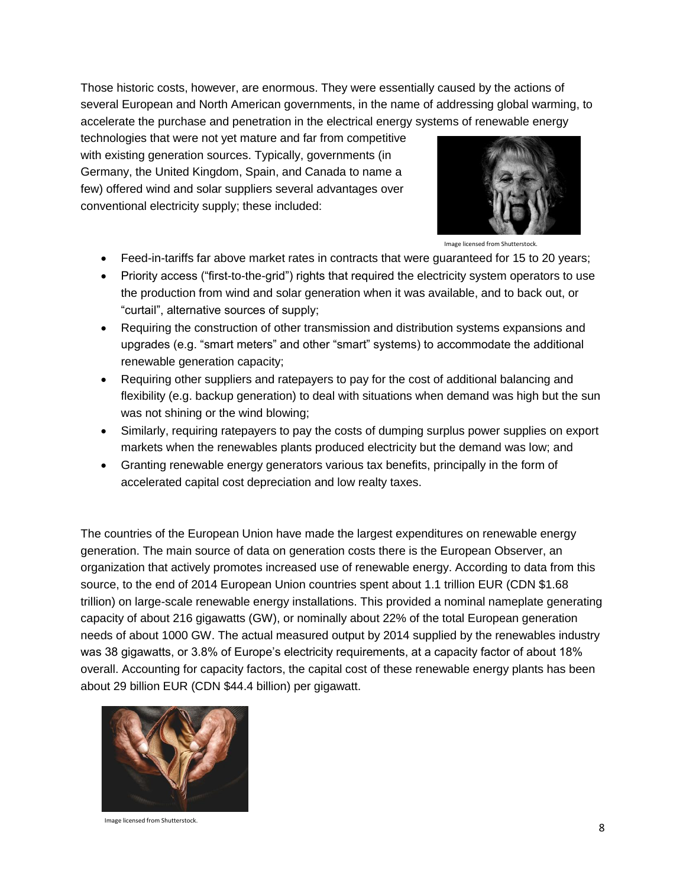Those historic costs, however, are enormous. They were essentially caused by the actions of several European and North American governments, in the name of addressing global warming, to accelerate the purchase and penetration in the electrical energy systems of renewable energy

technologies that were not yet mature and far from competitive with existing generation sources. Typically, governments (in Germany, the United Kingdom, Spain, and Canada to name a few) offered wind and solar suppliers several advantages over conventional electricity supply; these included:



Image licensed from Shutterstock.

- Feed-in-tariffs far above market rates in contracts that were guaranteed for 15 to 20 years;
- Priority access ("first-to-the-grid") rights that required the electricity system operators to use the production from wind and solar generation when it was available, and to back out, or "curtail", alternative sources of supply;
- Requiring the construction of other transmission and distribution systems expansions and upgrades (e.g. "smart meters" and other "smart" systems) to accommodate the additional renewable generation capacity;
- Requiring other suppliers and ratepayers to pay for the cost of additional balancing and flexibility (e.g. backup generation) to deal with situations when demand was high but the sun was not shining or the wind blowing;
- Similarly, requiring ratepayers to pay the costs of dumping surplus power supplies on export markets when the renewables plants produced electricity but the demand was low; and
- Granting renewable energy generators various tax benefits, principally in the form of accelerated capital cost depreciation and low realty taxes.

The countries of the European Union have made the largest expenditures on renewable energy generation. The main source of data on generation costs there is the European Observer, an organization that actively promotes increased use of renewable energy. According to data from this source, to the end of 2014 European Union countries spent about 1.1 trillion EUR (CDN \$1.68 trillion) on large-scale renewable energy installations. This provided a nominal nameplate generating capacity of about 216 gigawatts (GW), or nominally about 22% of the total European generation needs of about 1000 GW. The actual measured output by 2014 supplied by the renewables industry was 38 gigawatts, or 3.8% of Europe's electricity requirements, at a capacity factor of about 18% overall. Accounting for capacity factors, the capital cost of these renewable energy plants has been about 29 billion EUR (CDN \$44.4 billion) per gigawatt.



Image licensed from Shutterstock.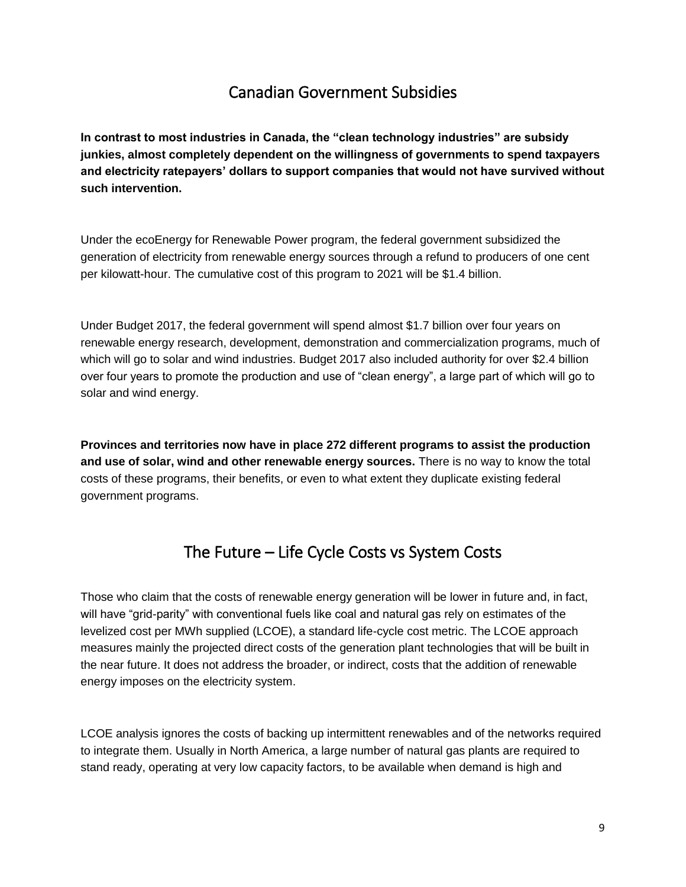### Canadian Government Subsidies

<span id="page-9-0"></span>**In contrast to most industries in Canada, the "clean technology industries" are subsidy junkies, almost completely dependent on the willingness of governments to spend taxpayers and electricity ratepayers' dollars to support companies that would not have survived without such intervention.** 

Under the ecoEnergy for Renewable Power program, the federal government subsidized the generation of electricity from renewable energy sources through a refund to producers of one cent per kilowatt-hour. The cumulative cost of this program to 2021 will be \$1.4 billion.

Under Budget 2017, the federal government will spend almost \$1.7 billion over four years on renewable energy research, development, demonstration and commercialization programs, much of which will go to solar and wind industries. Budget 2017 also included authority for over \$2.4 billion over four years to promote the production and use of "clean energy", a large part of which will go to solar and wind energy.

**Provinces and territories now have in place 272 different programs to assist the production and use of solar, wind and other renewable energy sources.** There is no way to know the total costs of these programs, their benefits, or even to what extent they duplicate existing federal government programs.

### The Future – Life Cycle Costs vs System Costs

<span id="page-9-1"></span>Those who claim that the costs of renewable energy generation will be lower in future and, in fact, will have "grid-parity" with conventional fuels like coal and natural gas rely on estimates of the levelized cost per MWh supplied (LCOE), a standard life-cycle cost metric. The LCOE approach measures mainly the projected direct costs of the generation plant technologies that will be built in the near future. It does not address the broader, or indirect, costs that the addition of renewable energy imposes on the electricity system.

LCOE analysis ignores the costs of backing up intermittent renewables and of the networks required to integrate them. Usually in North America, a large number of natural gas plants are required to stand ready, operating at very low capacity factors, to be available when demand is high and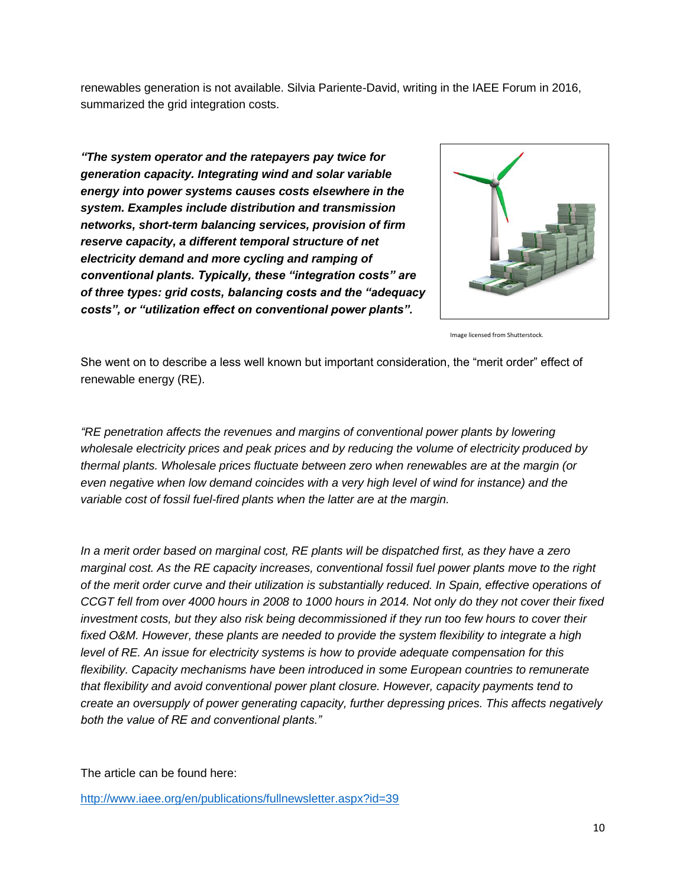renewables generation is not available. Silvia Pariente-David, writing in the IAEE Forum in 2016, summarized the grid integration costs.

*"The system operator and the ratepayers pay twice for generation capacity. Integrating wind and solar variable energy into power systems causes costs elsewhere in the system. Examples include distribution and transmission networks, short-term balancing services, provision of firm reserve capacity, a different temporal structure of net electricity demand and more cycling and ramping of conventional plants. Typically, these "integration costs" are of three types: grid costs, balancing costs and the "adequacy costs", or "utilization effect on conventional power plants".*



Image licensed from Shutterstock.

She went on to describe a less well known but important consideration, the "merit order" effect of renewable energy (RE).

*"RE penetration affects the revenues and margins of conventional power plants by lowering wholesale electricity prices and peak prices and by reducing the volume of electricity produced by thermal plants. Wholesale prices fluctuate between zero when renewables are at the margin (or even negative when low demand coincides with a very high level of wind for instance) and the variable cost of fossil fuel-fired plants when the latter are at the margin.*

*In a merit order based on marginal cost, RE plants will be dispatched first, as they have a zero marginal cost. As the RE capacity increases, conventional fossil fuel power plants move to the right of the merit order curve and their utilization is substantially reduced. In Spain, effective operations of CCGT fell from over 4000 hours in 2008 to 1000 hours in 2014. Not only do they not cover their fixed investment costs, but they also risk being decommissioned if they run too few hours to cover their fixed O&M. However, these plants are needed to provide the system flexibility to integrate a high level of RE. An issue for electricity systems is how to provide adequate compensation for this flexibility. Capacity mechanisms have been introduced in some European countries to remunerate that flexibility and avoid conventional power plant closure. However, capacity payments tend to create an oversupply of power generating capacity, further depressing prices. This affects negatively both the value of RE and conventional plants."*

The article can be found here:

<http://www.iaee.org/en/publications/fullnewsletter.aspx?id=39>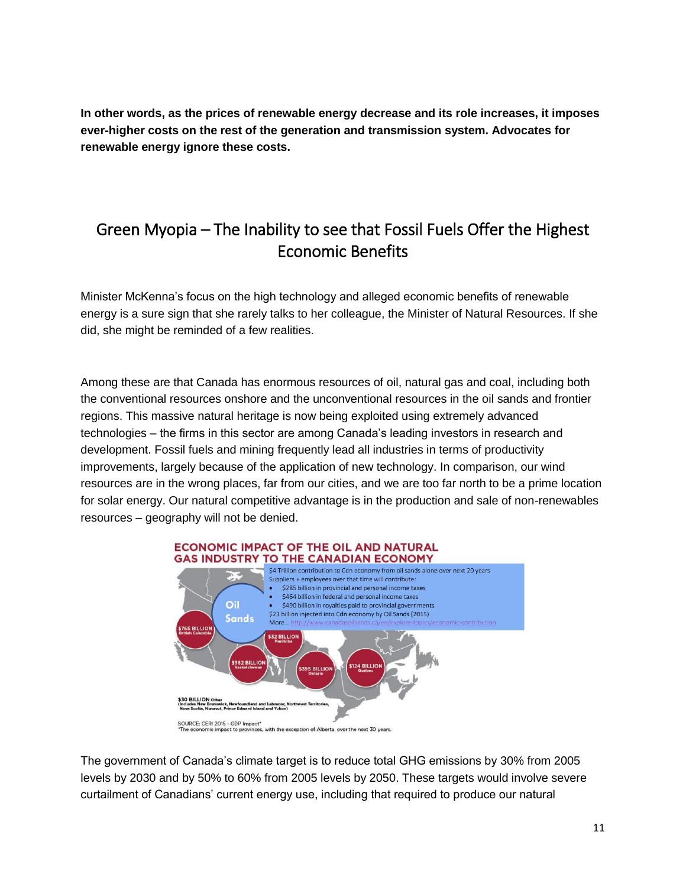**In other words, as the prices of renewable energy decrease and its role increases, it imposes ever-higher costs on the rest of the generation and transmission system. Advocates for renewable energy ignore these costs.**

### <span id="page-11-0"></span>Green Myopia – The Inability to see that Fossil Fuels Offer the Highest Economic Benefits

Minister McKenna's focus on the high technology and alleged economic benefits of renewable energy is a sure sign that she rarely talks to her colleague, the Minister of Natural Resources. If she did, she might be reminded of a few realities.

Among these are that Canada has enormous resources of oil, natural gas and coal, including both the conventional resources onshore and the unconventional resources in the oil sands and frontier regions. This massive natural heritage is now being exploited using extremely advanced technologies – the firms in this sector are among Canada's leading investors in research and development. Fossil fuels and mining frequently lead all industries in terms of productivity improvements, largely because of the application of new technology. In comparison, our wind resources are in the wrong places, far from our cities, and we are too far north to be a prime location for solar energy. Our natural competitive advantage is in the production and sale of non-renewables resources – geography will not be denied.



The government of Canada's climate target is to reduce total GHG emissions by 30% from 2005 levels by 2030 and by 50% to 60% from 2005 levels by 2050. These targets would involve severe curtailment of Canadians' current energy use, including that required to produce our natural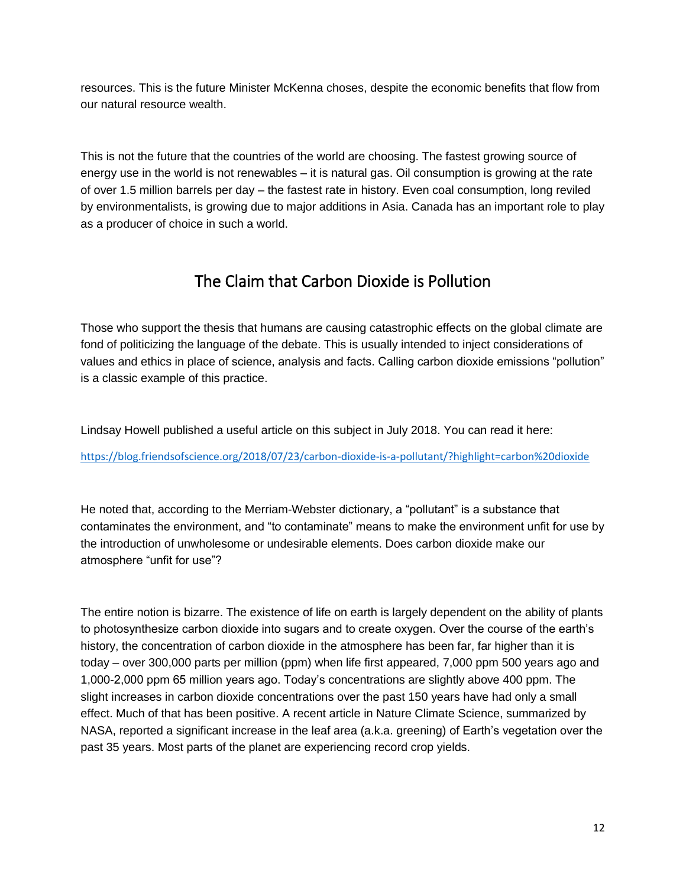resources. This is the future Minister McKenna choses, despite the economic benefits that flow from our natural resource wealth.

This is not the future that the countries of the world are choosing. The fastest growing source of energy use in the world is not renewables – it is natural gas. Oil consumption is growing at the rate of over 1.5 million barrels per day – the fastest rate in history. Even coal consumption, long reviled by environmentalists, is growing due to major additions in Asia. Canada has an important role to play as a producer of choice in such a world.

### The Claim that Carbon Dioxide is Pollution

<span id="page-12-0"></span>Those who support the thesis that humans are causing catastrophic effects on the global climate are fond of politicizing the language of the debate. This is usually intended to inject considerations of values and ethics in place of science, analysis and facts. Calling carbon dioxide emissions "pollution" is a classic example of this practice.

Lindsay Howell published a useful article on this subject in July 2018. You can read it here:

<https://blog.friendsofscience.org/2018/07/23/carbon-dioxide-is-a-pollutant/?highlight=carbon%20dioxide>

He noted that, according to the Merriam-Webster dictionary, a "pollutant" is a substance that contaminates the environment, and "to contaminate" means to make the environment unfit for use by the introduction of unwholesome or undesirable elements. Does carbon dioxide make our atmosphere "unfit for use"?

The entire notion is bizarre. The existence of life on earth is largely dependent on the ability of plants to photosynthesize carbon dioxide into sugars and to create oxygen. Over the course of the earth's history, the concentration of carbon dioxide in the atmosphere has been far, far higher than it is today – over 300,000 parts per million (ppm) when life first appeared, 7,000 ppm 500 years ago and 1,000-2,000 ppm 65 million years ago. Today's concentrations are slightly above 400 ppm. The slight increases in carbon dioxide concentrations over the past 150 years have had only a small effect. Much of that has been positive. A recent article in Nature Climate Science, summarized by NASA, reported a significant increase in the leaf area (a.k.a. greening) of Earth's vegetation over the past 35 years. Most parts of the planet are experiencing record crop yields.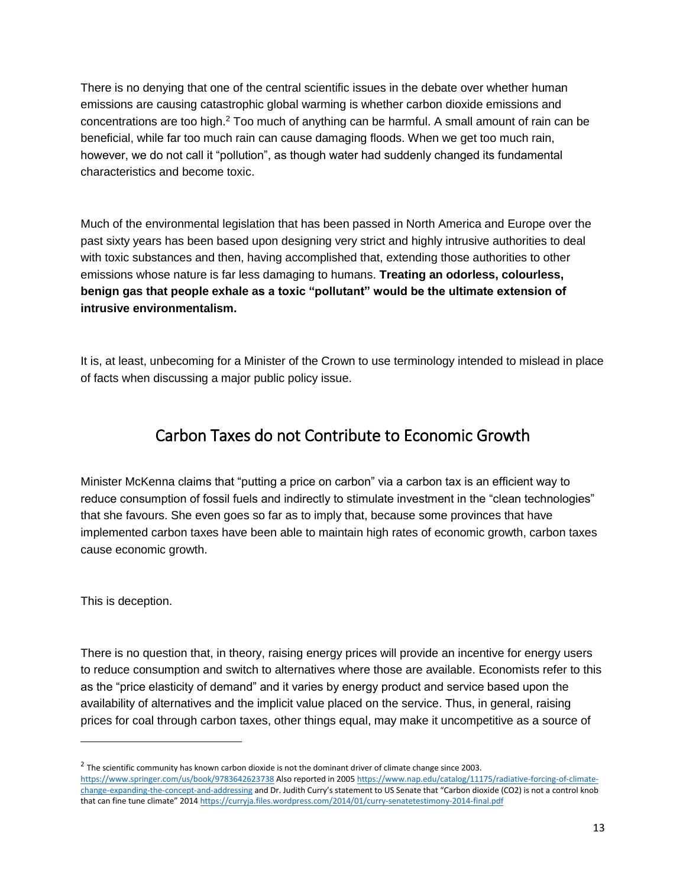There is no denying that one of the central scientific issues in the debate over whether human emissions are causing catastrophic global warming is whether carbon dioxide emissions and concentrations are too high.<sup>2</sup> Too much of anything can be harmful. A small amount of rain can be beneficial, while far too much rain can cause damaging floods. When we get too much rain, however, we do not call it "pollution", as though water had suddenly changed its fundamental characteristics and become toxic.

Much of the environmental legislation that has been passed in North America and Europe over the past sixty years has been based upon designing very strict and highly intrusive authorities to deal with toxic substances and then, having accomplished that, extending those authorities to other emissions whose nature is far less damaging to humans. **Treating an odorless, colourless, benign gas that people exhale as a toxic "pollutant" would be the ultimate extension of intrusive environmentalism.**

It is, at least, unbecoming for a Minister of the Crown to use terminology intended to mislead in place of facts when discussing a major public policy issue.

#### Carbon Taxes do not Contribute to Economic Growth

<span id="page-13-0"></span>Minister McKenna claims that "putting a price on carbon" via a carbon tax is an efficient way to reduce consumption of fossil fuels and indirectly to stimulate investment in the "clean technologies" that she favours. She even goes so far as to imply that, because some provinces that have implemented carbon taxes have been able to maintain high rates of economic growth, carbon taxes cause economic growth.

This is deception.

 $\overline{a}$ 

There is no question that, in theory, raising energy prices will provide an incentive for energy users to reduce consumption and switch to alternatives where those are available. Economists refer to this as the "price elasticity of demand" and it varies by energy product and service based upon the availability of alternatives and the implicit value placed on the service. Thus, in general, raising prices for coal through carbon taxes, other things equal, may make it uncompetitive as a source of

 $^2$  The scientific community has known carbon dioxide is not the dominant driver of climate change since 2003. <https://www.springer.com/us/book/9783642623738> Also reported in 200[5 https://www.nap.edu/catalog/11175/radiative-forcing-of-climate](https://www.nap.edu/catalog/11175/radiative-forcing-of-climate-change-expanding-the-concept-and-addressing)[change-expanding-the-concept-and-addressing](https://www.nap.edu/catalog/11175/radiative-forcing-of-climate-change-expanding-the-concept-and-addressing) and Dr. Judith Curry's statement to US Senate that "Carbon dioxide (CO2) is not a control knob that can fine tune climate" 2014 <https://curryja.files.wordpress.com/2014/01/curry-senatetestimony-2014-final.pdf>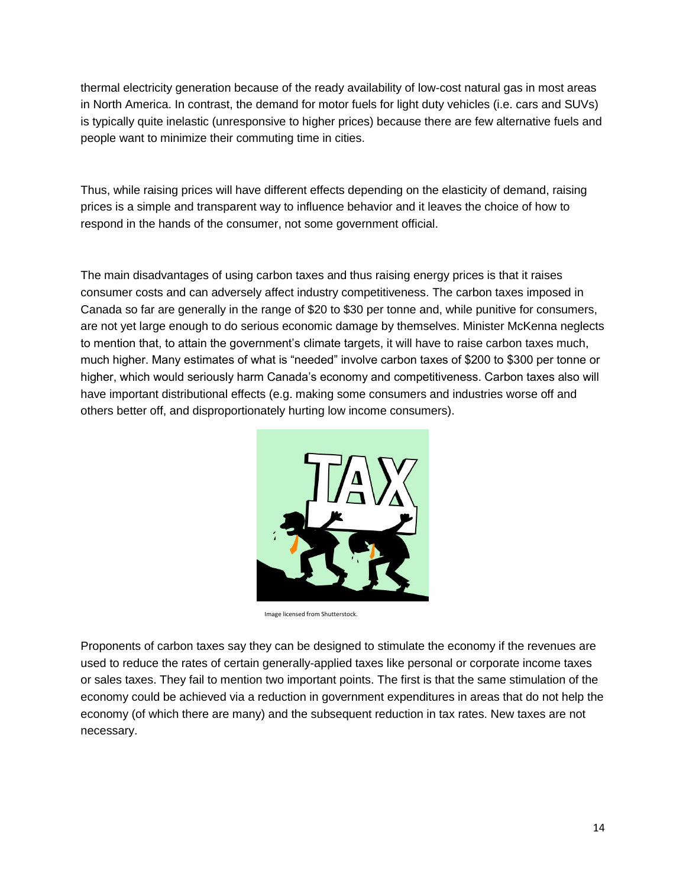thermal electricity generation because of the ready availability of low-cost natural gas in most areas in North America. In contrast, the demand for motor fuels for light duty vehicles (i.e. cars and SUVs) is typically quite inelastic (unresponsive to higher prices) because there are few alternative fuels and people want to minimize their commuting time in cities.

Thus, while raising prices will have different effects depending on the elasticity of demand, raising prices is a simple and transparent way to influence behavior and it leaves the choice of how to respond in the hands of the consumer, not some government official.

The main disadvantages of using carbon taxes and thus raising energy prices is that it raises consumer costs and can adversely affect industry competitiveness. The carbon taxes imposed in Canada so far are generally in the range of \$20 to \$30 per tonne and, while punitive for consumers, are not yet large enough to do serious economic damage by themselves. Minister McKenna neglects to mention that, to attain the government's climate targets, it will have to raise carbon taxes much, much higher. Many estimates of what is "needed" involve carbon taxes of \$200 to \$300 per tonne or higher, which would seriously harm Canada's economy and competitiveness. Carbon taxes also will have important distributional effects (e.g. making some consumers and industries worse off and others better off, and disproportionately hurting low income consumers).



Image licensed from Shutterstock.

Proponents of carbon taxes say they can be designed to stimulate the economy if the revenues are used to reduce the rates of certain generally-applied taxes like personal or corporate income taxes or sales taxes. They fail to mention two important points. The first is that the same stimulation of the economy could be achieved via a reduction in government expenditures in areas that do not help the economy (of which there are many) and the subsequent reduction in tax rates. New taxes are not necessary.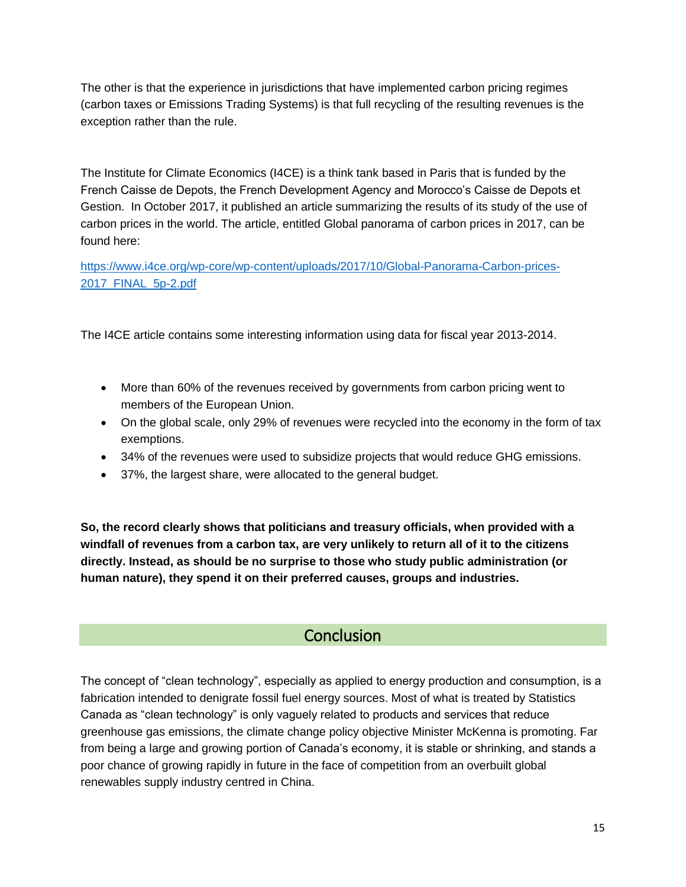The other is that the experience in jurisdictions that have implemented carbon pricing regimes (carbon taxes or Emissions Trading Systems) is that full recycling of the resulting revenues is the exception rather than the rule.

The Institute for Climate Economics (I4CE) is a think tank based in Paris that is funded by the French Caisse de Depots, the French Development Agency and Morocco's Caisse de Depots et Gestion. In October 2017, it published an article summarizing the results of its study of the use of carbon prices in the world. The article, entitled Global panorama of carbon prices in 2017, can be found here:

[https://www.i4ce.org/wp-core/wp-content/uploads/2017/10/Global-Panorama-Carbon-prices-](https://www.i4ce.org/wp-core/wp-content/uploads/2017/10/Global-Panorama-Carbon-prices-2017_FINAL_5p-2.pdf)[2017\\_FINAL\\_5p-2.pdf](https://www.i4ce.org/wp-core/wp-content/uploads/2017/10/Global-Panorama-Carbon-prices-2017_FINAL_5p-2.pdf)

The I4CE article contains some interesting information using data for fiscal year 2013-2014.

- More than 60% of the revenues received by governments from carbon pricing went to members of the European Union.
- On the global scale, only 29% of revenues were recycled into the economy in the form of tax exemptions.
- 34% of the revenues were used to subsidize projects that would reduce GHG emissions.
- 37%, the largest share, were allocated to the general budget.

**So, the record clearly shows that politicians and treasury officials, when provided with a windfall of revenues from a carbon tax, are very unlikely to return all of it to the citizens directly. Instead, as should be no surprise to those who study public administration (or human nature), they spend it on their preferred causes, groups and industries.**

#### **Conclusion**

<span id="page-15-0"></span>The concept of "clean technology", especially as applied to energy production and consumption, is a fabrication intended to denigrate fossil fuel energy sources. Most of what is treated by Statistics Canada as "clean technology" is only vaguely related to products and services that reduce greenhouse gas emissions, the climate change policy objective Minister McKenna is promoting. Far from being a large and growing portion of Canada's economy, it is stable or shrinking, and stands a poor chance of growing rapidly in future in the face of competition from an overbuilt global renewables supply industry centred in China.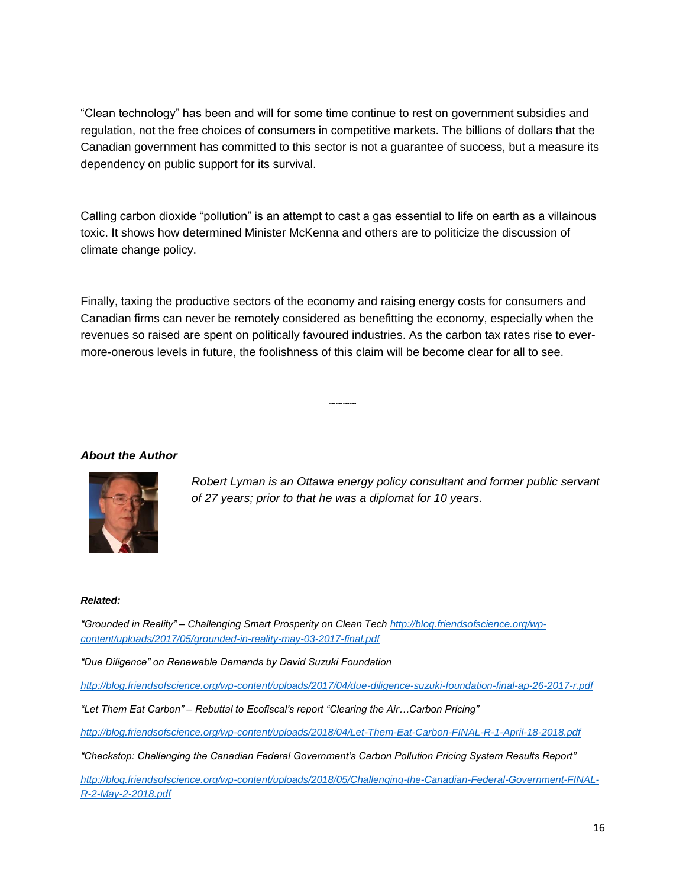"Clean technology" has been and will for some time continue to rest on government subsidies and regulation, not the free choices of consumers in competitive markets. The billions of dollars that the Canadian government has committed to this sector is not a guarantee of success, but a measure its dependency on public support for its survival.

Calling carbon dioxide "pollution" is an attempt to cast a gas essential to life on earth as a villainous toxic. It shows how determined Minister McKenna and others are to politicize the discussion of climate change policy.

Finally, taxing the productive sectors of the economy and raising energy costs for consumers and Canadian firms can never be remotely considered as benefitting the economy, especially when the revenues so raised are spent on politically favoured industries. As the carbon tax rates rise to evermore-onerous levels in future, the foolishness of this claim will be become clear for all to see.

~~~~

#### *About the Author*



*Robert Lyman is an Ottawa energy policy consultant and former public servant of 27 years; prior to that he was a diplomat for 10 years.*

#### *Related:*

*"Grounded in Reality" – Challenging Smart Prosperity on Clean Tech [http://blog.friendsofscience.org/wp](http://blog.friendsofscience.org/wp-content/uploads/2017/05/grounded-in-reality-may-03-2017-final.pdf)[content/uploads/2017/05/grounded-in-reality-may-03-2017-final.pdf](http://blog.friendsofscience.org/wp-content/uploads/2017/05/grounded-in-reality-may-03-2017-final.pdf)*

*"Due Diligence" on Renewable Demands by David Suzuki Foundation*

*<http://blog.friendsofscience.org/wp-content/uploads/2017/04/due-diligence-suzuki-foundation-final-ap-26-2017-r.pdf>*

*"Let Them Eat Carbon" – Rebuttal to Ecofiscal's report "Clearing the Air…Carbon Pricing"*

*<http://blog.friendsofscience.org/wp-content/uploads/2018/04/Let-Them-Eat-Carbon-FINAL-R-1-April-18-2018.pdf>*

*"Checkstop: Challenging the Canadian Federal Government's Carbon Pollution Pricing System Results Report"*

*[http://blog.friendsofscience.org/wp-content/uploads/2018/05/Challenging-the-Canadian-Federal-Government-FINAL-](http://blog.friendsofscience.org/wp-content/uploads/2018/05/Challenging-the-Canadian-Federal-Government-FINAL-R-2-May-2-2018.pdf)[R-2-May-2-2018.pdf](http://blog.friendsofscience.org/wp-content/uploads/2018/05/Challenging-the-Canadian-Federal-Government-FINAL-R-2-May-2-2018.pdf)*